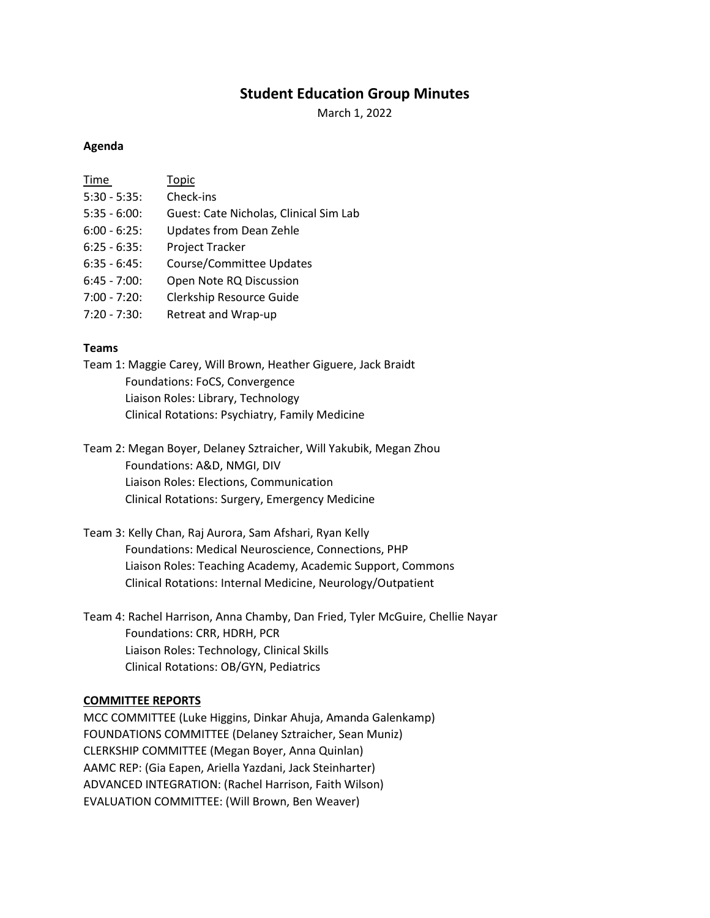# **Student Education Group Minutes**

March 1, 2022

#### **Agenda**

| Time            | Topic                                  |
|-----------------|----------------------------------------|
| $5:30 - 5:35$ : | Check-ins                              |
| $5:35 - 6:00$ : | Guest: Cate Nicholas, Clinical Sim Lab |
| $6:00 - 6:25$ : | <b>Updates from Dean Zehle</b>         |
| $6:25 - 6:35$ : | Project Tracker                        |
| $6:35 - 6:45$ : | Course/Committee Updates               |
| $6:45 - 7:00$ : | Open Note RQ Discussion                |
| $7:00 - 7:20$ : | Clerkship Resource Guide               |
| $7:20 - 7:30$ : | Retreat and Wrap-up                    |

#### **Teams**

Team 1: Maggie Carey, Will Brown, Heather Giguere, Jack Braidt Foundations: FoCS, Convergence Liaison Roles: Library, Technology Clinical Rotations: Psychiatry, Family Medicine

Team 2: Megan Boyer, Delaney Sztraicher, Will Yakubik, Megan Zhou Foundations: A&D, NMGI, DIV Liaison Roles: Elections, Communication Clinical Rotations: Surgery, Emergency Medicine

Team 3: Kelly Chan, Raj Aurora, Sam Afshari, Ryan Kelly Foundations: Medical Neuroscience, Connections, PHP Liaison Roles: Teaching Academy, Academic Support, Commons Clinical Rotations: Internal Medicine, Neurology/Outpatient

Team 4: Rachel Harrison, Anna Chamby, Dan Fried, Tyler McGuire, Chellie Nayar Foundations: CRR, HDRH, PCR Liaison Roles: Technology, Clinical Skills Clinical Rotations: OB/GYN, Pediatrics

## **COMMITTEE REPORTS**

MCC COMMITTEE (Luke Higgins, Dinkar Ahuja, Amanda Galenkamp) FOUNDATIONS COMMITTEE (Delaney Sztraicher, Sean Muniz) CLERKSHIP COMMITTEE (Megan Boyer, Anna Quinlan) AAMC REP: (Gia Eapen, Ariella Yazdani, Jack Steinharter) ADVANCED INTEGRATION: (Rachel Harrison, Faith Wilson) EVALUATION COMMITTEE: (Will Brown, Ben Weaver)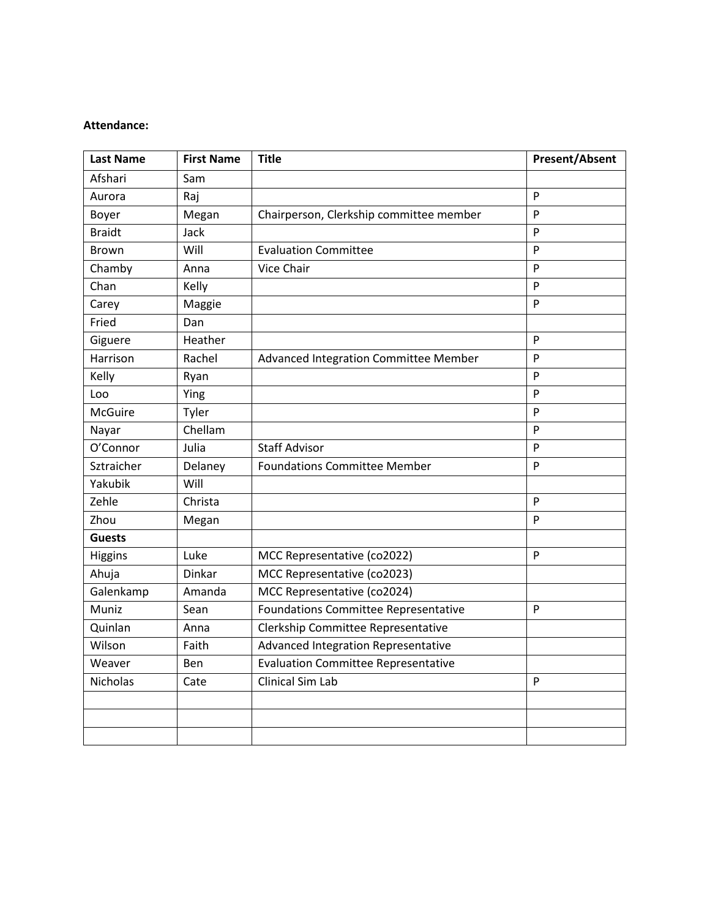#### **Attendance:**

| <b>Last Name</b> | <b>First Name</b> | <b>Title</b>                                | <b>Present/Absent</b> |
|------------------|-------------------|---------------------------------------------|-----------------------|
| Afshari          | Sam               |                                             |                       |
| Aurora           | Raj               |                                             | P                     |
| Boyer            | Megan             | Chairperson, Clerkship committee member     | P                     |
| <b>Braidt</b>    | Jack              |                                             | P                     |
| <b>Brown</b>     | Will              | <b>Evaluation Committee</b>                 | P                     |
| Chamby           | Anna              | Vice Chair                                  | P                     |
| Chan             | Kelly             |                                             | P                     |
| Carey            | Maggie            |                                             | P                     |
| Fried            | Dan               |                                             |                       |
| Giguere          | Heather           |                                             | P                     |
| Harrison         | Rachel            | Advanced Integration Committee Member       | P                     |
| Kelly            | Ryan              |                                             | $\mathsf{P}$          |
| Loo              | Ying              |                                             | P                     |
| <b>McGuire</b>   | Tyler             |                                             | P                     |
| Nayar            | Chellam           |                                             | P                     |
| O'Connor         | Julia             | <b>Staff Advisor</b>                        | P                     |
| Sztraicher       | Delaney           | <b>Foundations Committee Member</b>         | P                     |
| Yakubik          | Will              |                                             |                       |
| Zehle            | Christa           |                                             | P                     |
| Zhou             | Megan             |                                             | P                     |
| <b>Guests</b>    |                   |                                             |                       |
| Higgins          | Luke              | MCC Representative (co2022)                 | P                     |
| Ahuja            | <b>Dinkar</b>     | MCC Representative (co2023)                 |                       |
| Galenkamp        | Amanda            | MCC Representative (co2024)                 |                       |
| Muniz            | Sean              | <b>Foundations Committee Representative</b> | P                     |
| Quinlan          | Anna              | Clerkship Committee Representative          |                       |
| Wilson           | Faith             | Advanced Integration Representative         |                       |
| Weaver           | Ben               | <b>Evaluation Committee Representative</b>  |                       |
| <b>Nicholas</b>  | Cate              | <b>Clinical Sim Lab</b>                     | P                     |
|                  |                   |                                             |                       |
|                  |                   |                                             |                       |
|                  |                   |                                             |                       |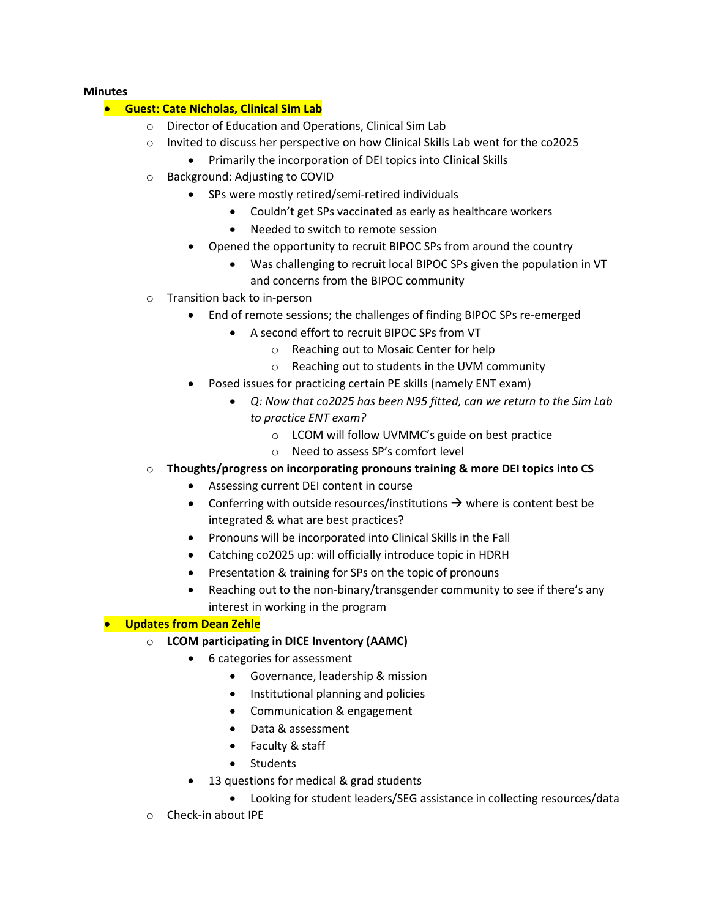### **Minutes**

# • **Guest: Cate Nicholas, Clinical Sim Lab**

- o Director of Education and Operations, Clinical Sim Lab
- o Invited to discuss her perspective on how Clinical Skills Lab went for the co2025
	- Primarily the incorporation of DEI topics into Clinical Skills
- o Background: Adjusting to COVID
	- SPs were mostly retired/semi-retired individuals
		- Couldn't get SPs vaccinated as early as healthcare workers
		- Needed to switch to remote session
	- Opened the opportunity to recruit BIPOC SPs from around the country
		- Was challenging to recruit local BIPOC SPs given the population in VT and concerns from the BIPOC community
- o Transition back to in-person
	- End of remote sessions; the challenges of finding BIPOC SPs re-emerged
		- A second effort to recruit BIPOC SPs from VT
			- o Reaching out to Mosaic Center for help
			- o Reaching out to students in the UVM community
	- Posed issues for practicing certain PE skills (namely ENT exam)
		- *Q: Now that co2025 has been N95 fitted, can we return to the Sim Lab to practice ENT exam?*
			- o LCOM will follow UVMMC's guide on best practice
			- o Need to assess SP's comfort level
- o **Thoughts/progress on incorporating pronouns training & more DEI topics into CS**
	- Assessing current DEI content in course
	- Conferring with outside resources/institutions  $\rightarrow$  where is content best be integrated & what are best practices?
	- Pronouns will be incorporated into Clinical Skills in the Fall
	- Catching co2025 up: will officially introduce topic in HDRH
	- Presentation & training for SPs on the topic of pronouns
	- Reaching out to the non-binary/transgender community to see if there's any interest in working in the program

# • **Updates from Dean Zehle**

- o **LCOM participating in DICE Inventory (AAMC)**
	- 6 categories for assessment
		- Governance, leadership & mission
		- Institutional planning and policies
		- Communication & engagement
		- Data & assessment
		- Faculty & staff
		- Students
	- 13 questions for medical & grad students
		- Looking for student leaders/SEG assistance in collecting resources/data
- o Check-in about IPE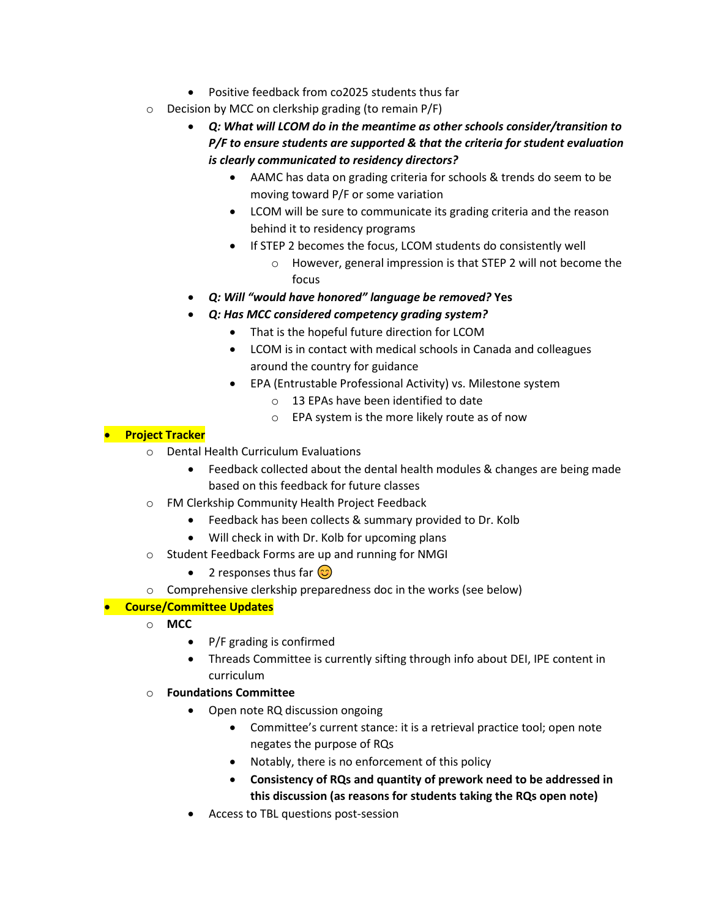- Positive feedback from co2025 students thus far
- o Decision by MCC on clerkship grading (to remain P/F)
	- *Q: What will LCOM do in the meantime as other schools consider/transition to P/F to ensure students are supported & that the criteria for student evaluation is clearly communicated to residency directors?*
		- AAMC has data on grading criteria for schools & trends do seem to be moving toward P/F or some variation
		- LCOM will be sure to communicate its grading criteria and the reason behind it to residency programs
		- If STEP 2 becomes the focus, LCOM students do consistently well
			- o However, general impression is that STEP 2 will not become the focus
	- *Q: Will "would have honored" language be removed?* **Yes**
	- *Q: Has MCC considered competency grading system?*
		- That is the hopeful future direction for LCOM
		- LCOM is in contact with medical schools in Canada and colleagues around the country for guidance
		- EPA (Entrustable Professional Activity) vs. Milestone system
			- o 13 EPAs have been identified to date
			- o EPA system is the more likely route as of now

# • **Project Tracker**

- o Dental Health Curriculum Evaluations
	- Feedback collected about the dental health modules & changes are being made based on this feedback for future classes
- o FM Clerkship Community Health Project Feedback
	- Feedback has been collects & summary provided to Dr. Kolb
	- Will check in with Dr. Kolb for upcoming plans
- o Student Feedback Forms are up and running for NMGI
	- 2 responses thus far  $\circled{c}$
- o Comprehensive clerkship preparedness doc in the works (see below)

# • **Course/Committee Updates**

- o **MCC**
	- P/F grading is confirmed
	- Threads Committee is currently sifting through info about DEI, IPE content in curriculum
- o **Foundations Committee**
	- Open note RQ discussion ongoing
		- Committee's current stance: it is a retrieval practice tool; open note negates the purpose of RQs
		- Notably, there is no enforcement of this policy
		- **Consistency of RQs and quantity of prework need to be addressed in this discussion (as reasons for students taking the RQs open note)**
	- Access to TBL questions post-session